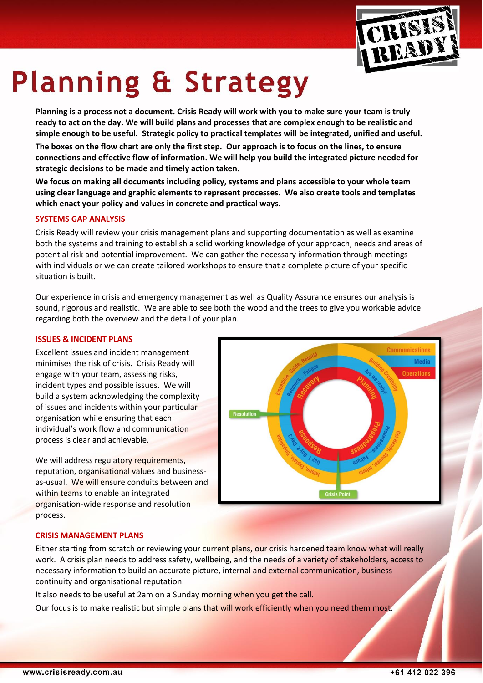

# **Planning & Strategy**

**Planning is a process not a document. Crisis Ready will work with you to make sure your team is truly ready to act on the day. We will build plans and processes that are complex enough to be realistic and simple enough to be useful. Strategic policy to practical templates will be integrated, unified and useful.** 

**The boxes on the flow chart are only the first step. Our approach is to focus on the lines, to ensure connections and effective flow of information. We will help you build the integrated picture needed for strategic decisions to be made and timely action taken.**

**We focus on making all documents including policy, systems and plans accessible to your whole team using clear language and graphic elements to represent processes. We also create tools and templates which enact your policy and values in concrete and practical ways.**

## **SYSTEMS GAP ANALYSIS**

Crisis Ready will review your crisis management plans and supporting documentation as well as examine both the systems and training to establish a solid working knowledge of your approach, needs and areas of potential risk and potential improvement. We can gather the necessary information through meetings with individuals or we can create tailored workshops to ensure that a complete picture of your specific situation is built.

Our experience in crisis and emergency management as well as Quality Assurance ensures our analysis is sound, rigorous and realistic. We are able to see both the wood and the trees to give you workable advice regarding both the overview and the detail of your plan.

### **ISSUES & INCIDENT PLANS**

Excellent issues and incident management minimises the risk of crisis. Crisis Ready will engage with your team, assessing risks, incident types and possible issues. We will build a system acknowledging the complexity of issues and incidents within your particular organisation while ensuring that each individual's work flow and communication process is clear and achievable.

We will address regulatory requirements, reputation, organisational values and businessas-usual. We will ensure conduits between and within teams to enable an integrated organisation-wide response and resolution process.



#### **CRISIS MANAGEMENT PLANS**

Either starting from scratch or reviewing your current plans, our crisis hardened team know what will really work. A crisis plan needs to address safety, wellbeing, and the needs of a variety of stakeholders, access to necessary information to build an accurate picture, internal and external communication, business continuity and organisational reputation.

It also needs to be useful at 2am on a Sunday morning when you get the call.

Our focus is to make realistic but simple plans that will work efficiently when you need them most.